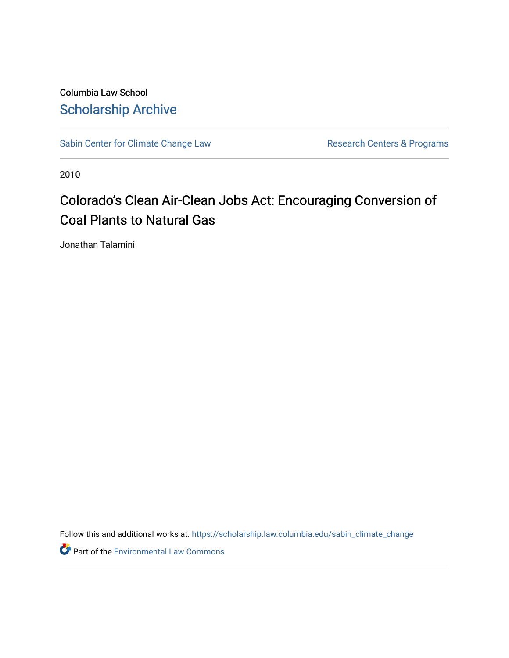Columbia Law School [Scholarship Archive](https://scholarship.law.columbia.edu/) 

[Sabin Center for Climate Change Law](https://scholarship.law.columbia.edu/sabin_climate_change) Research Centers & Programs

2010

# Colorado's Clean Air-Clean Jobs Act: Encouraging Conversion of Coal Plants to Natural Gas

Jonathan Talamini

Follow this and additional works at: [https://scholarship.law.columbia.edu/sabin\\_climate\\_change](https://scholarship.law.columbia.edu/sabin_climate_change?utm_source=scholarship.law.columbia.edu%2Fsabin_climate_change%2F170&utm_medium=PDF&utm_campaign=PDFCoverPages) 

Part of the [Environmental Law Commons](http://network.bepress.com/hgg/discipline/599?utm_source=scholarship.law.columbia.edu%2Fsabin_climate_change%2F170&utm_medium=PDF&utm_campaign=PDFCoverPages)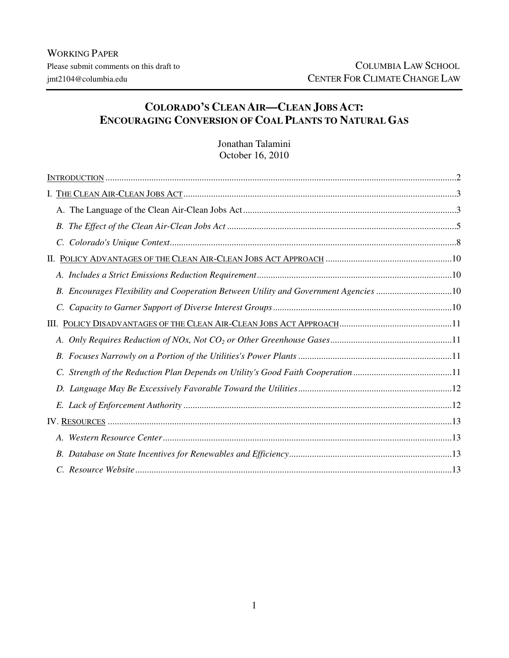# **COLORADO'S CLEAN AIR—CLEAN JOBS ACT: ENCOURAGING CONVERSION OF COAL PLANTS TO NATURAL GAS**

Jonathan Talamini October 16, 2010

| C.                                                                                   |  |
|--------------------------------------------------------------------------------------|--|
|                                                                                      |  |
|                                                                                      |  |
| B. Encourages Flexibility and Cooperation Between Utility and Government Agencies 10 |  |
|                                                                                      |  |
|                                                                                      |  |
|                                                                                      |  |
|                                                                                      |  |
| C. Strength of the Reduction Plan Depends on Utility's Good Faith Cooperation 11     |  |
|                                                                                      |  |
|                                                                                      |  |
|                                                                                      |  |
|                                                                                      |  |
|                                                                                      |  |
|                                                                                      |  |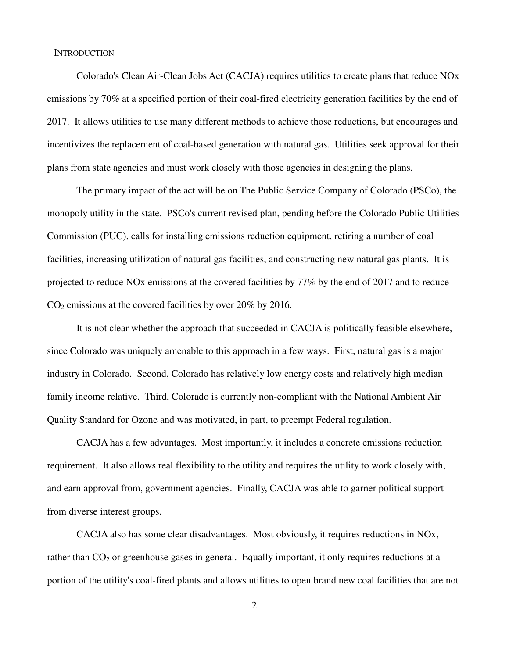#### **INTRODUCTION**

Colorado's Clean Air-Clean Jobs Act (CACJA) requires utilities to create plans that reduce NOx emissions by 70% at a specified portion of their coal-fired electricity generation facilities by the end of 2017. It allows utilities to use many different methods to achieve those reductions, but encourages and incentivizes the replacement of coal-based generation with natural gas. Utilities seek approval for their plans from state agencies and must work closely with those agencies in designing the plans.

 The primary impact of the act will be on The Public Service Company of Colorado (PSCo), the monopoly utility in the state. PSCo's current revised plan, pending before the Colorado Public Utilities Commission (PUC), calls for installing emissions reduction equipment, retiring a number of coal facilities, increasing utilization of natural gas facilities, and constructing new natural gas plants. It is projected to reduce NOx emissions at the covered facilities by 77% by the end of 2017 and to reduce  $CO<sub>2</sub>$  emissions at the covered facilities by over 20% by 2016.

 It is not clear whether the approach that succeeded in CACJA is politically feasible elsewhere, since Colorado was uniquely amenable to this approach in a few ways. First, natural gas is a major industry in Colorado. Second, Colorado has relatively low energy costs and relatively high median family income relative. Third, Colorado is currently non-compliant with the National Ambient Air Quality Standard for Ozone and was motivated, in part, to preempt Federal regulation.

 CACJA has a few advantages. Most importantly, it includes a concrete emissions reduction requirement. It also allows real flexibility to the utility and requires the utility to work closely with, and earn approval from, government agencies. Finally, CACJA was able to garner political support from diverse interest groups.

 CACJA also has some clear disadvantages. Most obviously, it requires reductions in NOx, rather than CO<sub>2</sub> or greenhouse gases in general. Equally important, it only requires reductions at a portion of the utility's coal-fired plants and allows utilities to open brand new coal facilities that are not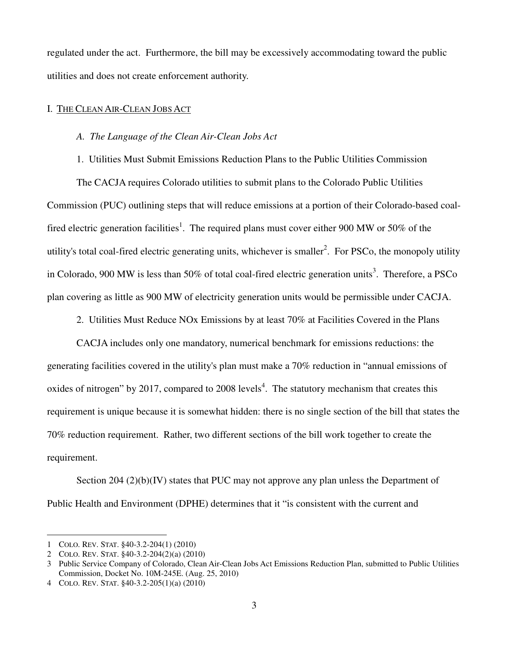regulated under the act. Furthermore, the bill may be excessively accommodating toward the public utilities and does not create enforcement authority.

# I. THE CLEAN AIR-CLEAN JOBS ACT

# *A. The Language of the Clean Air-Clean Jobs Act*

1. Utilities Must Submit Emissions Reduction Plans to the Public Utilities Commission

 The CACJA requires Colorado utilities to submit plans to the Colorado Public Utilities Commission (PUC) outlining steps that will reduce emissions at a portion of their Colorado-based coalfired electric generation facilities<sup>1</sup>. The required plans must cover either 900 MW or 50% of the utility's total coal-fired electric generating units, whichever is smaller<sup>2</sup>. For PSCo, the monopoly utility in Colorado, 900 MW is less than 50% of total coal-fired electric generation units<sup>3</sup>. Therefore, a PSCo plan covering as little as 900 MW of electricity generation units would be permissible under CACJA.

2. Utilities Must Reduce NOx Emissions by at least 70% at Facilities Covered in the Plans

CACJA includes only one mandatory, numerical benchmark for emissions reductions: the generating facilities covered in the utility's plan must make a 70% reduction in "annual emissions of oxides of nitrogen" by 2017, compared to 2008 levels<sup>4</sup>. The statutory mechanism that creates this requirement is unique because it is somewhat hidden: there is no single section of the bill that states the 70% reduction requirement. Rather, two different sections of the bill work together to create the requirement.

Section  $204 (2)(b)(IV)$  states that PUC may not approve any plan unless the Department of Public Health and Environment (DPHE) determines that it "is consistent with the current and

<sup>1</sup> COLO. REV. STAT. §40-3.2-204(1) (2010)

<sup>2</sup> COLO. REV. STAT. §40-3.2-204(2)(a) (2010)

<sup>3</sup> Public Service Company of Colorado, Clean Air-Clean Jobs Act Emissions Reduction Plan, submitted to Public Utilities Commission, Docket No. 10M-245E. (Aug. 25, 2010)

<sup>4</sup> COLO. REV. STAT. §40-3.2-205(1)(a) (2010)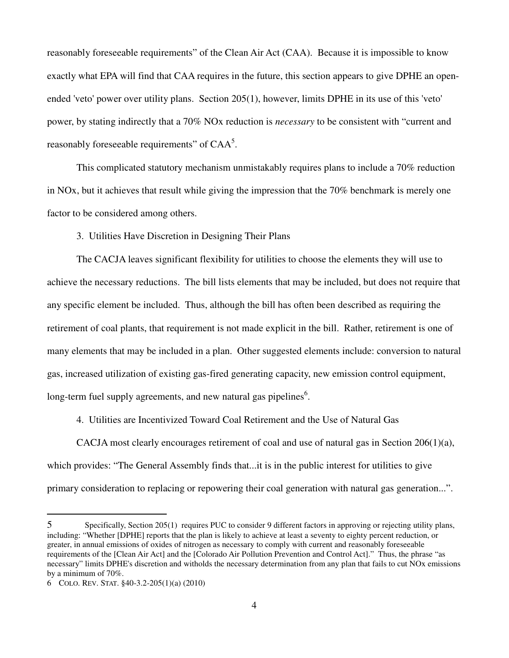reasonably foreseeable requirements" of the Clean Air Act (CAA). Because it is impossible to know exactly what EPA will find that CAA requires in the future, this section appears to give DPHE an openended 'veto' power over utility plans. Section 205(1), however, limits DPHE in its use of this 'veto' power, by stating indirectly that a 70% NOx reduction is *necessary* to be consistent with "current and reasonably foreseeable requirements" of  $\text{CAA}^5$ .

 This complicated statutory mechanism unmistakably requires plans to include a 70% reduction in NOx, but it achieves that result while giving the impression that the 70% benchmark is merely one factor to be considered among others.

3. Utilities Have Discretion in Designing Their Plans

 The CACJA leaves significant flexibility for utilities to choose the elements they will use to achieve the necessary reductions. The bill lists elements that may be included, but does not require that any specific element be included. Thus, although the bill has often been described as requiring the retirement of coal plants, that requirement is not made explicit in the bill. Rather, retirement is one of many elements that may be included in a plan. Other suggested elements include: conversion to natural gas, increased utilization of existing gas-fired generating capacity, new emission control equipment, long-term fuel supply agreements, and new natural gas pipelines<sup>6</sup>.

4. Utilities are Incentivized Toward Coal Retirement and the Use of Natural Gas

CACJA most clearly encourages retirement of coal and use of natural gas in Section 206(1)(a), which provides: "The General Assembly finds that...it is in the public interest for utilities to give primary consideration to replacing or repowering their coal generation with natural gas generation...".

<sup>5</sup> Specifically, Section 205(1) requires PUC to consider 9 different factors in approving or rejecting utility plans, including: "Whether [DPHE] reports that the plan is likely to achieve at least a seventy to eighty percent reduction, or greater, in annual emissions of oxides of nitrogen as necessary to comply with current and reasonably foreseeable requirements of the [Clean Air Act] and the [Colorado Air Pollution Prevention and Control Act]." Thus, the phrase "as necessary" limits DPHE's discretion and witholds the necessary determination from any plan that fails to cut NOx emissions by a minimum of 70%.

<sup>6</sup> COLO. REV. STAT. §40-3.2-205(1)(a) (2010)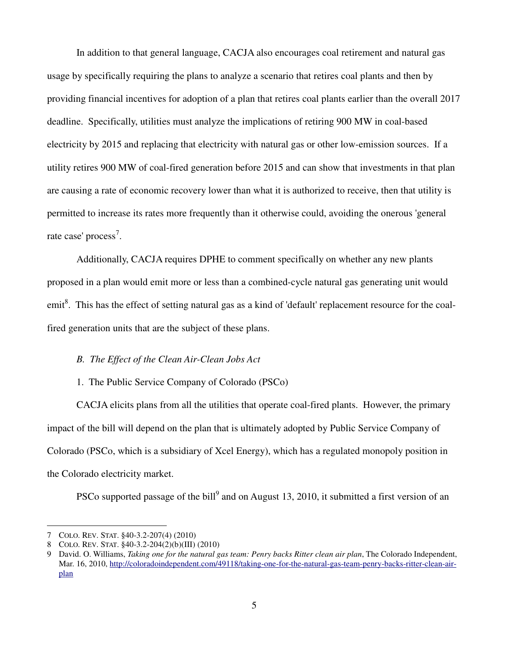In addition to that general language, CACJA also encourages coal retirement and natural gas usage by specifically requiring the plans to analyze a scenario that retires coal plants and then by providing financial incentives for adoption of a plan that retires coal plants earlier than the overall 2017 deadline. Specifically, utilities must analyze the implications of retiring 900 MW in coal-based electricity by 2015 and replacing that electricity with natural gas or other low-emission sources. If a utility retires 900 MW of coal-fired generation before 2015 and can show that investments in that plan are causing a rate of economic recovery lower than what it is authorized to receive, then that utility is permitted to increase its rates more frequently than it otherwise could, avoiding the onerous 'general rate case' process<sup>7</sup>.

 Additionally, CACJA requires DPHE to comment specifically on whether any new plants proposed in a plan would emit more or less than a combined-cycle natural gas generating unit would emit<sup>8</sup>. This has the effect of setting natural gas as a kind of 'default' replacement resource for the coalfired generation units that are the subject of these plans.

# *B. The Effect of the Clean Air-Clean Jobs Act*

### 1. The Public Service Company of Colorado (PSCo)

 CACJA elicits plans from all the utilities that operate coal-fired plants. However, the primary impact of the bill will depend on the plan that is ultimately adopted by Public Service Company of Colorado (PSCo, which is a subsidiary of Xcel Energy), which has a regulated monopoly position in the Colorado electricity market.

PSCo supported passage of the bill<sup>9</sup> and on August 13, 2010, it submitted a first version of an

<sup>7</sup> COLO. REV. STAT. §40-3.2-207(4) (2010)

<sup>8</sup> COLO. REV. STAT. §40-3.2-204(2)(b)(III) (2010)

<sup>9</sup> David. O. Williams, *Taking one for the natural gas team: Penry backs Ritter clean air plan*, The Colorado Independent, Mar. 16, 2010, http://coloradoindependent.com/49118/taking-one-for-the-natural-gas-team-penry-backs-ritter-clean-airplan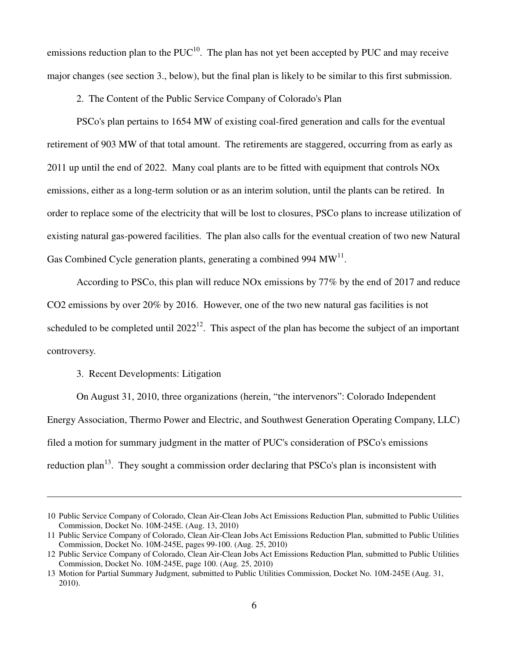emissions reduction plan to the  $PUC^{10}$ . The plan has not yet been accepted by PUC and may receive major changes (see section 3., below), but the final plan is likely to be similar to this first submission.

2. The Content of the Public Service Company of Colorado's Plan

 PSCo's plan pertains to 1654 MW of existing coal-fired generation and calls for the eventual retirement of 903 MW of that total amount. The retirements are staggered, occurring from as early as 2011 up until the end of 2022. Many coal plants are to be fitted with equipment that controls NOx emissions, either as a long-term solution or as an interim solution, until the plants can be retired. In order to replace some of the electricity that will be lost to closures, PSCo plans to increase utilization of existing natural gas-powered facilities. The plan also calls for the eventual creation of two new Natural Gas Combined Cycle generation plants, generating a combined 994  $MW<sup>11</sup>$ .

 According to PSCo, this plan will reduce NOx emissions by 77% by the end of 2017 and reduce CO2 emissions by over 20% by 2016. However, one of the two new natural gas facilities is not scheduled to be completed until  $2022^{12}$ . This aspect of the plan has become the subject of an important controversy.

3. Recent Developments: Litigation

 $\overline{a}$ 

 On August 31, 2010, three organizations (herein, "the intervenors": Colorado Independent Energy Association, Thermo Power and Electric, and Southwest Generation Operating Company, LLC) filed a motion for summary judgment in the matter of PUC's consideration of PSCo's emissions reduction plan<sup>13</sup>. They sought a commission order declaring that PSCo's plan is inconsistent with

<sup>10</sup> Public Service Company of Colorado, Clean Air-Clean Jobs Act Emissions Reduction Plan, submitted to Public Utilities Commission, Docket No. 10M-245E. (Aug. 13, 2010)

<sup>11</sup> Public Service Company of Colorado, Clean Air-Clean Jobs Act Emissions Reduction Plan, submitted to Public Utilities Commission, Docket No. 10M-245E, pages 99-100. (Aug. 25, 2010)

<sup>12</sup> Public Service Company of Colorado, Clean Air-Clean Jobs Act Emissions Reduction Plan, submitted to Public Utilities Commission, Docket No. 10M-245E, page 100. (Aug. 25, 2010)

<sup>13</sup> Motion for Partial Summary Judgment, submitted to Public Utilities Commission, Docket No. 10M-245E (Aug. 31, 2010).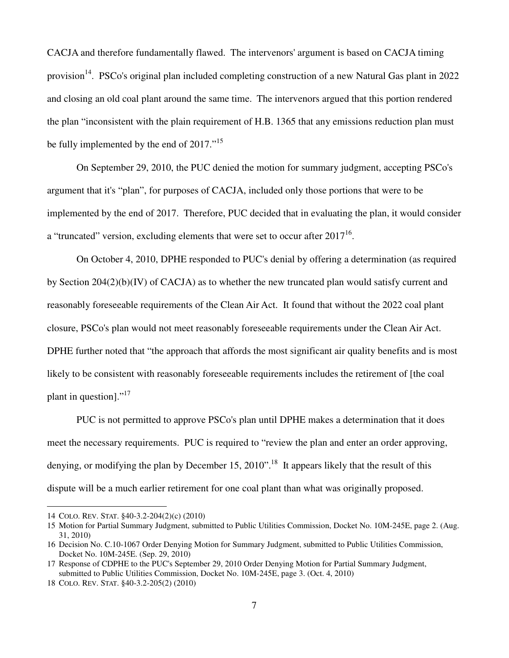CACJA and therefore fundamentally flawed. The intervenors' argument is based on CACJA timing provision<sup>14</sup>. PSCo's original plan included completing construction of a new Natural Gas plant in 2022 and closing an old coal plant around the same time. The intervenors argued that this portion rendered the plan "inconsistent with the plain requirement of H.B. 1365 that any emissions reduction plan must be fully implemented by the end of 2017."<sup>15</sup>

 On September 29, 2010, the PUC denied the motion for summary judgment, accepting PSCo's argument that it's "plan", for purposes of CACJA, included only those portions that were to be implemented by the end of 2017. Therefore, PUC decided that in evaluating the plan, it would consider a "truncated" version, excluding elements that were set to occur after  $2017^{16}$ .

 On October 4, 2010, DPHE responded to PUC's denial by offering a determination (as required by Section 204(2)(b)(IV) of CACJA) as to whether the new truncated plan would satisfy current and reasonably foreseeable requirements of the Clean Air Act. It found that without the 2022 coal plant closure, PSCo's plan would not meet reasonably foreseeable requirements under the Clean Air Act. DPHE further noted that "the approach that affords the most significant air quality benefits and is most likely to be consistent with reasonably foreseeable requirements includes the retirement of [the coal plant in question]."<sup>17</sup>

 PUC is not permitted to approve PSCo's plan until DPHE makes a determination that it does meet the necessary requirements. PUC is required to "review the plan and enter an order approving, denying, or modifying the plan by December 15, 2010".<sup>18</sup> It appears likely that the result of this dispute will be a much earlier retirement for one coal plant than what was originally proposed.

<sup>14</sup> COLO. REV. STAT. §40-3.2-204(2)(c) (2010)

<sup>15</sup> Motion for Partial Summary Judgment, submitted to Public Utilities Commission, Docket No. 10M-245E, page 2. (Aug. 31, 2010)

<sup>16</sup> Decision No. C.10-1067 Order Denying Motion for Summary Judgment, submitted to Public Utilities Commission, Docket No. 10M-245E. (Sep. 29, 2010)

<sup>17</sup> Response of CDPHE to the PUC's September 29, 2010 Order Denying Motion for Partial Summary Judgment, submitted to Public Utilities Commission, Docket No. 10M-245E, page 3. (Oct. 4, 2010)

<sup>18</sup> COLO. REV. STAT. §40-3.2-205(2) (2010)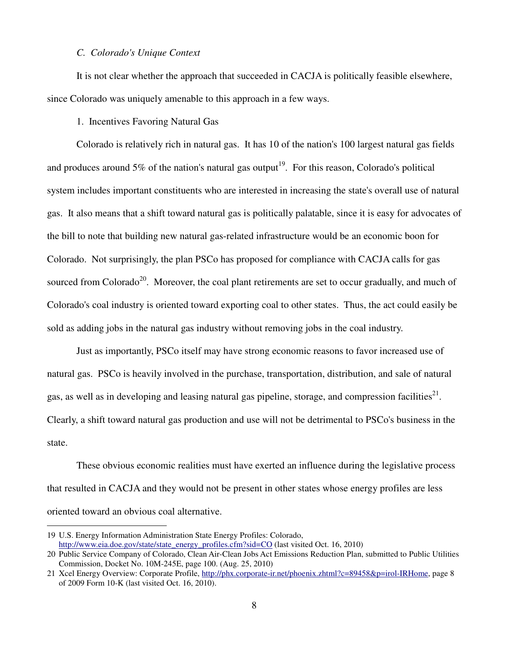#### *C. Colorado's Unique Context*

 It is not clear whether the approach that succeeded in CACJA is politically feasible elsewhere, since Colorado was uniquely amenable to this approach in a few ways.

1. Incentives Favoring Natural Gas

 Colorado is relatively rich in natural gas. It has 10 of the nation's 100 largest natural gas fields and produces around 5% of the nation's natural gas output<sup>19</sup>. For this reason, Colorado's political system includes important constituents who are interested in increasing the state's overall use of natural gas. It also means that a shift toward natural gas is politically palatable, since it is easy for advocates of the bill to note that building new natural gas-related infrastructure would be an economic boon for Colorado. Not surprisingly, the plan PSCo has proposed for compliance with CACJA calls for gas sourced from Colorado<sup>20</sup>. Moreover, the coal plant retirements are set to occur gradually, and much of Colorado's coal industry is oriented toward exporting coal to other states. Thus, the act could easily be sold as adding jobs in the natural gas industry without removing jobs in the coal industry.

 Just as importantly, PSCo itself may have strong economic reasons to favor increased use of natural gas. PSCo is heavily involved in the purchase, transportation, distribution, and sale of natural gas, as well as in developing and leasing natural gas pipeline, storage, and compression facilities $^{21}$ . Clearly, a shift toward natural gas production and use will not be detrimental to PSCo's business in the state.

 These obvious economic realities must have exerted an influence during the legislative process that resulted in CACJA and they would not be present in other states whose energy profiles are less oriented toward an obvious coal alternative.

<sup>19</sup> U.S. Energy Information Administration State Energy Profiles: Colorado, http://www.eia.doe.gov/state/state\_energy\_profiles.cfm?sid=CO (last visited Oct. 16, 2010)

<sup>20</sup> Public Service Company of Colorado, Clean Air-Clean Jobs Act Emissions Reduction Plan, submitted to Public Utilities Commission, Docket No. 10M-245E, page 100. (Aug. 25, 2010)

<sup>21</sup> Xcel Energy Overview: Corporate Profile, http://phx.corporate-ir.net/phoenix.zhtml?c=89458&p=irol-IRHome, page 8 of 2009 Form 10-K (last visited Oct. 16, 2010).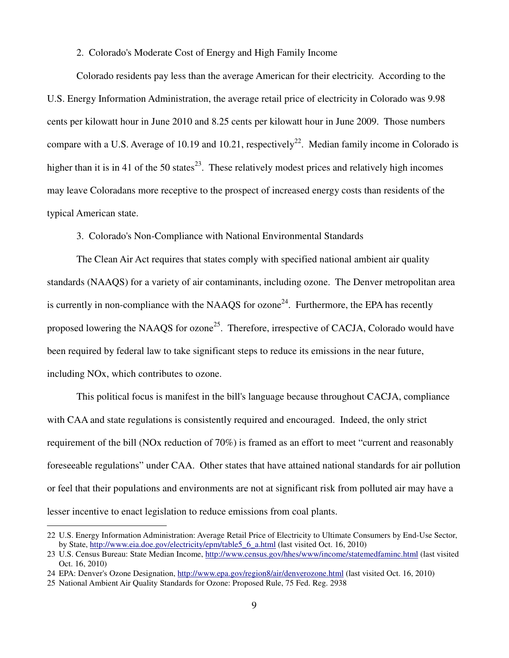#### 2. Colorado's Moderate Cost of Energy and High Family Income

 Colorado residents pay less than the average American for their electricity. According to the U.S. Energy Information Administration, the average retail price of electricity in Colorado was 9.98 cents per kilowatt hour in June 2010 and 8.25 cents per kilowatt hour in June 2009. Those numbers compare with a U.S. Average of 10.19 and 10.21, respectively<sup>22</sup>. Median family income in Colorado is higher than it is in 41 of the 50 states<sup>23</sup>. These relatively modest prices and relatively high incomes may leave Coloradans more receptive to the prospect of increased energy costs than residents of the typical American state.

3. Colorado's Non-Compliance with National Environmental Standards

 The Clean Air Act requires that states comply with specified national ambient air quality standards (NAAQS) for a variety of air contaminants, including ozone. The Denver metropolitan area is currently in non-compliance with the NAAQS for ozone<sup>24</sup>. Furthermore, the EPA has recently proposed lowering the NAAQS for ozone<sup>25</sup>. Therefore, irrespective of CACJA, Colorado would have been required by federal law to take significant steps to reduce its emissions in the near future, including NOx, which contributes to ozone.

 This political focus is manifest in the bill's language because throughout CACJA, compliance with CAA and state regulations is consistently required and encouraged. Indeed, the only strict requirement of the bill (NOx reduction of 70%) is framed as an effort to meet "current and reasonably foreseeable regulations" under CAA. Other states that have attained national standards for air pollution or feel that their populations and environments are not at significant risk from polluted air may have a lesser incentive to enact legislation to reduce emissions from coal plants.

<sup>22</sup> U.S. Energy Information Administration: Average Retail Price of Electricity to Ultimate Consumers by End-Use Sector, by State, http://www.eia.doe.gov/electricity/epm/table5\_6\_a.html (last visited Oct. 16, 2010)

<sup>23</sup> U.S. Census Bureau: State Median Income, http://www.census.gov/hhes/www/income/statemedfaminc.html (last visited Oct. 16, 2010)

<sup>24</sup> EPA: Denver's Ozone Designation, http://www.epa.gov/region8/air/denverozone.html (last visited Oct. 16, 2010)

<sup>25</sup> National Ambient Air Quality Standards for Ozone: Proposed Rule, 75 Fed. Reg. 2938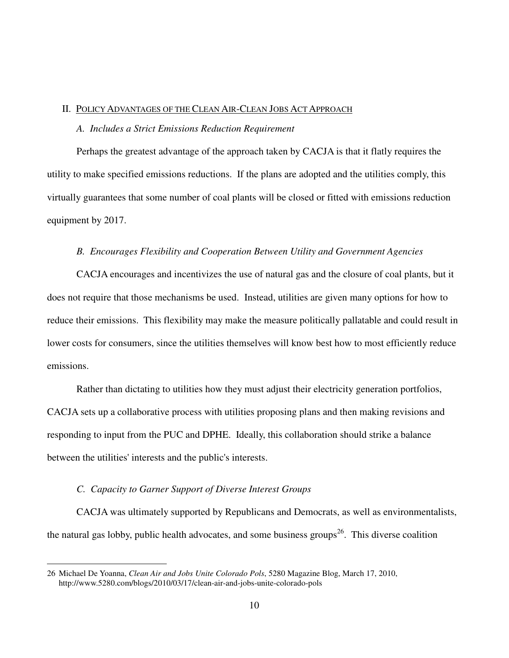# II. POLICY ADVANTAGES OF THE CLEAN AIR-CLEAN JOBS ACT APPROACH

#### *A. Includes a Strict Emissions Reduction Requirement*

 Perhaps the greatest advantage of the approach taken by CACJA is that it flatly requires the utility to make specified emissions reductions. If the plans are adopted and the utilities comply, this virtually guarantees that some number of coal plants will be closed or fitted with emissions reduction equipment by 2017.

# *B. Encourages Flexibility and Cooperation Between Utility and Government Agencies*

 CACJA encourages and incentivizes the use of natural gas and the closure of coal plants, but it does not require that those mechanisms be used. Instead, utilities are given many options for how to reduce their emissions. This flexibility may make the measure politically pallatable and could result in lower costs for consumers, since the utilities themselves will know best how to most efficiently reduce emissions.

 Rather than dictating to utilities how they must adjust their electricity generation portfolios, CACJA sets up a collaborative process with utilities proposing plans and then making revisions and responding to input from the PUC and DPHE. Ideally, this collaboration should strike a balance between the utilities' interests and the public's interests.

#### *C. Capacity to Garner Support of Diverse Interest Groups*

 $\overline{a}$ 

 CACJA was ultimately supported by Republicans and Democrats, as well as environmentalists, the natural gas lobby, public health advocates, and some business groups<sup>26</sup>. This diverse coalition

<sup>26</sup> Michael De Yoanna, *Clean Air and Jobs Unite Colorado Pols*, 5280 Magazine Blog, March 17, 2010, http://www.5280.com/blogs/2010/03/17/clean-air-and-jobs-unite-colorado-pols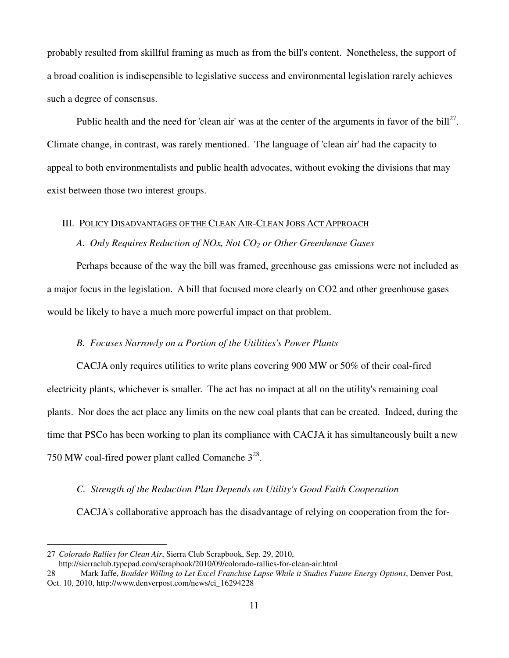probably resulted from skillful framing as much as from the bill's content. Nonetheless, the support of a broad coalition is indiscpensible to legislative success and environmental legislation rarely achieves such a degree of consensus.

Public health and the need for 'clean air' was at the center of the arguments in favor of the bill<sup>27</sup>. Climate change, in contrast, was rarely mentioned. The language of 'clean air' had the capacity to appeal to both environmentalists and public health advocates, without evoking the divisions that may exist between those two interest groups.

#### III. POLICY DISADVANTAGES OF THE CLEAN AIR-CLEAN JOBS ACT APPROACH

#### *A. Only Requires Reduction of NOx, Not CO2 or Other Greenhouse Gases*

 Perhaps because of the way the bill was framed, greenhouse gas emissions were not included as a major focus in the legislation. A bill that focused more clearly on CO2 and other greenhouse gases would be likely to have a much more powerful impact on that problem.

# *B. Focuses Narrowly on a Portion of the Utilities's Power Plants*

 CACJA only requires utilities to write plans covering 900 MW or 50% of their coal-fired electricity plants, whichever is smaller. The act has no impact at all on the utility's remaining coal plants. Nor does the act place any limits on the new coal plants that can be created. Indeed, during the time that PSCo has been working to plan its compliance with CACJA it has simultaneously built a new 750 MW coal-fired power plant called Comanche  $3^{28}$ .

# *C. Strength of the Reduction Plan Depends on Utility's Good Faith Cooperation*

CACJA's collaborative approach has the disadvantage of relying on cooperation from the for-

<sup>27</sup> *Colorado Rallies for Clean Air*, Sierra Club Scrapbook, Sep. 29, 2010,

http://sierraclub.typepad.com/scrapbook/2010/09/colorado-rallies-for-clean-air.html

<sup>28</sup> Mark Jaffe, *Boulder Willing to Let Excel Franchise Lapse While it Studies Future Energy Options*, Denver Post, Oct. 10, 2010, http://www.denverpost.com/news/ci\_16294228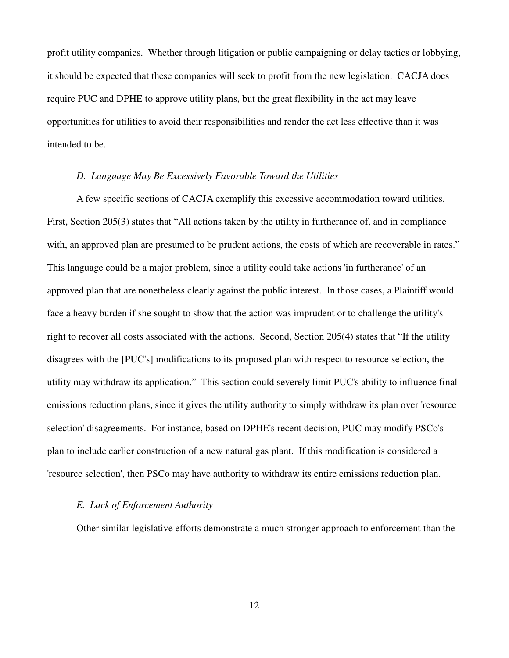profit utility companies. Whether through litigation or public campaigning or delay tactics or lobbying, it should be expected that these companies will seek to profit from the new legislation. CACJA does require PUC and DPHE to approve utility plans, but the great flexibility in the act may leave opportunities for utilities to avoid their responsibilities and render the act less effective than it was intended to be.

# *D. Language May Be Excessively Favorable Toward the Utilities*

 A few specific sections of CACJA exemplify this excessive accommodation toward utilities. First, Section 205(3) states that "All actions taken by the utility in furtherance of, and in compliance with, an approved plan are presumed to be prudent actions, the costs of which are recoverable in rates." This language could be a major problem, since a utility could take actions 'in furtherance' of an approved plan that are nonetheless clearly against the public interest. In those cases, a Plaintiff would face a heavy burden if she sought to show that the action was imprudent or to challenge the utility's right to recover all costs associated with the actions. Second, Section 205(4) states that "If the utility disagrees with the [PUC's] modifications to its proposed plan with respect to resource selection, the utility may withdraw its application." This section could severely limit PUC's ability to influence final emissions reduction plans, since it gives the utility authority to simply withdraw its plan over 'resource selection' disagreements. For instance, based on DPHE's recent decision, PUC may modify PSCo's plan to include earlier construction of a new natural gas plant. If this modification is considered a 'resource selection', then PSCo may have authority to withdraw its entire emissions reduction plan.

#### *E. Lack of Enforcement Authority*

Other similar legislative efforts demonstrate a much stronger approach to enforcement than the